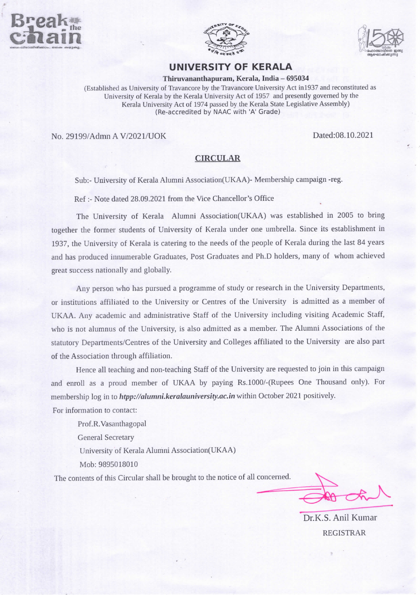





## UNIVERSITY OF KERALA

Thiruvananthapuram, Kerala, India - 695034

(Established as University of Travancore by the Travancore University Act inl937 and reconstituted as University of Kerala by the Kerala University Act of 1957 and presently governed by the Kerala University Act of 1974 passed by the Kerala State Legislative Assembly) (Re-accredited by NAAC with 'A' Grade)

No. 29199/Admn A V/2021/UOK

Dated:08.10.2021

## CIRCULAR

Sub:- University of Kerala Alumni Association(UKAA)- Membership campaign -reg.

Ref :- Note dated 28.09.2021 from the Vice Chancellor's Office

The University of Kerala Alumni Association(UKAA) was established in 2005 to bring together the former students of University of Kerala under one umbrella. Since its establishment in 1937, the University of Kerala is catering to the needs of the people of Kerala during the last 84 years and has produced innumerable Graduates, Post Graduates and Ph.D holders, many of whom achieved great success nationally and globally.

Any person who has pursued a programme of study or research in the University Departments, or institutions affiliated to the University or Centres of the University is admitted as a member of UKAA. Any academic and administrative Staff of the University including visiting Academic Staff, who is not alumnus of the University, is also admitted as a member. The Alumni Associations of the statutory Departments/Centres of the University and Colleges affiliated to the University are also part of the Association through affiliation.

Hence all teaching and non-teaching Staff of the University are requested to join in this campaign and enroll as a proud member of UKAA by paying Rs.1000/-(Rupees One Thousand only). For membership log in to htpp://alumni.keralauniversity.ac.in within October 2021 positively.

For information to contact:

Prof.R.Vasanthagopal General Secretary University of Kerala Alumni Association(UKAA) Mob: 9895018010

The contents of this Circular shall be brought to the notice of all concerned.

 $\lambda$  $\llbracket \bigcirc \pi$ ®

Dr.K.S. Anil Kumar REGISTRAR